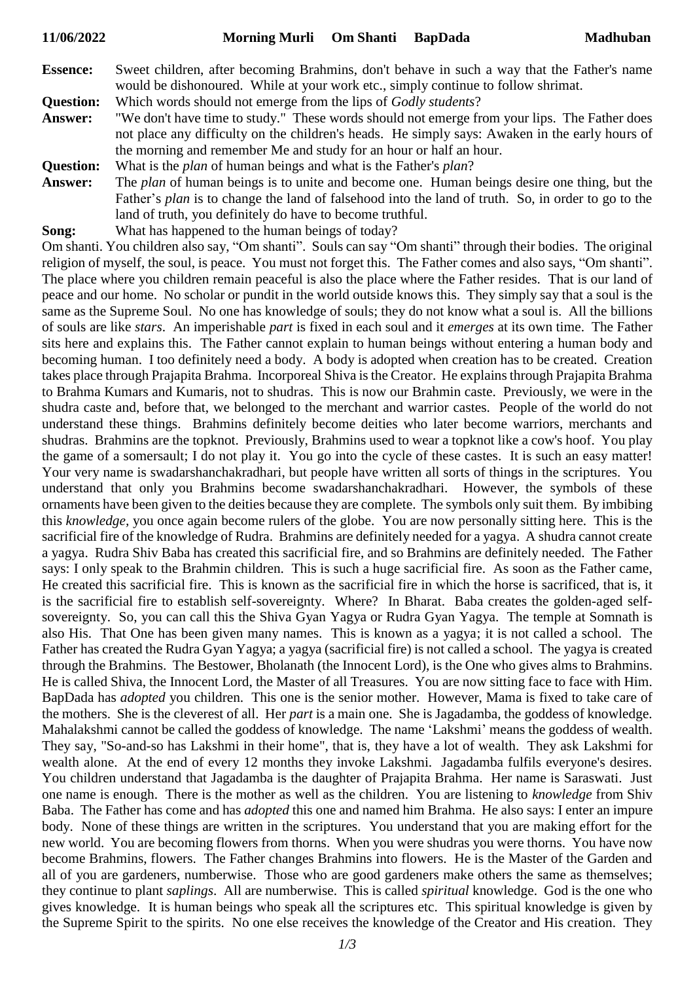**Essence:** Sweet children, after becoming Brahmins, don't behave in such a way that the Father's name would be dishonoured. While at your work etc., simply continue to follow shrimat.

**Question:** Which words should not emerge from the lips of *Godly students*?

- **Answer:** "We don't have time to study." These words should not emerge from your lips. The Father does not place any difficulty on the children's heads. He simply says: Awaken in the early hours of the morning and remember Me and study for an hour or half an hour.
- **Question:** What is the *plan* of human beings and what is the Father's *plan*?
- **Answer:** The *plan* of human beings is to unite and become one. Human beings desire one thing, but the Father's *plan* is to change the land of falsehood into the land of truth. So, in order to go to the land of truth, you definitely do have to become truthful.
- **Song:** What has happened to the human beings of today?

Om shanti. You children also say, "Om shanti". Souls can say "Om shanti" through their bodies. The original religion of myself, the soul, is peace. You must not forget this. The Father comes and also says, "Om shanti". The place where you children remain peaceful is also the place where the Father resides. That is our land of peace and our home. No scholar or pundit in the world outside knows this. They simply say that a soul is the same as the Supreme Soul. No one has knowledge of souls; they do not know what a soul is. All the billions of souls are like *stars*. An imperishable *part* is fixed in each soul and it *emerges* at its own time. The Father sits here and explains this. The Father cannot explain to human beings without entering a human body and becoming human. I too definitely need a body. A body is adopted when creation has to be created. Creation takes place through Prajapita Brahma. Incorporeal Shiva is the Creator. He explains through Prajapita Brahma to Brahma Kumars and Kumaris, not to shudras. This is now our Brahmin caste. Previously, we were in the shudra caste and, before that, we belonged to the merchant and warrior castes. People of the world do not understand these things. Brahmins definitely become deities who later become warriors, merchants and shudras. Brahmins are the topknot. Previously, Brahmins used to wear a topknot like a cow's hoof. You play the game of a somersault; I do not play it. You go into the cycle of these castes. It is such an easy matter! Your very name is swadarshanchakradhari, but people have written all sorts of things in the scriptures. You understand that only you Brahmins become swadarshanchakradhari. However, the symbols of these ornaments have been given to the deities because they are complete. The symbols only suit them. By imbibing this *knowledge,* you once again become rulers of the globe. You are now personally sitting here. This is the sacrificial fire of the knowledge of Rudra. Brahmins are definitely needed for a yagya. A shudra cannot create a yagya. Rudra Shiv Baba has created this sacrificial fire, and so Brahmins are definitely needed. The Father says: I only speak to the Brahmin children. This is such a huge sacrificial fire. As soon as the Father came, He created this sacrificial fire. This is known as the sacrificial fire in which the horse is sacrificed, that is, it is the sacrificial fire to establish self-sovereignty. Where? In Bharat. Baba creates the golden-aged selfsovereignty. So, you can call this the Shiva Gyan Yagya or Rudra Gyan Yagya. The temple at Somnath is also His. That One has been given many names. This is known as a yagya; it is not called a school. The Father has created the Rudra Gyan Yagya; a yagya (sacrificial fire) is not called a school. The yagya is created through the Brahmins. The Bestower, Bholanath (the Innocent Lord), is the One who gives alms to Brahmins. He is called Shiva, the Innocent Lord, the Master of all Treasures. You are now sitting face to face with Him. BapDada has *adopted* you children. This one is the senior mother. However, Mama is fixed to take care of the mothers. She is the cleverest of all. Her *part* is a main one. She is Jagadamba, the goddess of knowledge. Mahalakshmi cannot be called the goddess of knowledge. The name 'Lakshmi' means the goddess of wealth. They say, "So-and-so has Lakshmi in their home", that is, they have a lot of wealth. They ask Lakshmi for wealth alone. At the end of every 12 months they invoke Lakshmi. Jagadamba fulfils everyone's desires. You children understand that Jagadamba is the daughter of Prajapita Brahma. Her name is Saraswati. Just one name is enough. There is the mother as well as the children. You are listening to *knowledge* from Shiv Baba. The Father has come and has *adopted* this one and named him Brahma. He also says: I enter an impure body. None of these things are written in the scriptures. You understand that you are making effort for the new world. You are becoming flowers from thorns. When you were shudras you were thorns. You have now become Brahmins, flowers. The Father changes Brahmins into flowers. He is the Master of the Garden and all of you are gardeners, numberwise. Those who are good gardeners make others the same as themselves; they continue to plant *saplings*. All are numberwise. This is called *spiritual* knowledge. God is the one who gives knowledge. It is human beings who speak all the scriptures etc. This spiritual knowledge is given by the Supreme Spirit to the spirits. No one else receives the knowledge of the Creator and His creation. They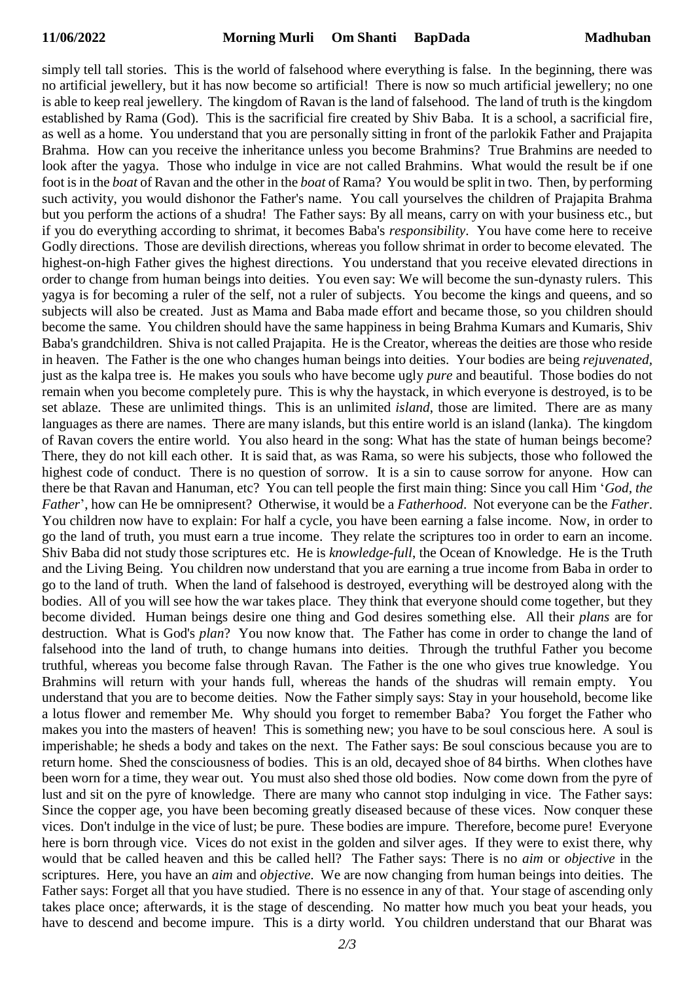simply tell tall stories. This is the world of falsehood where everything is false. In the beginning, there was no artificial jewellery, but it has now become so artificial! There is now so much artificial jewellery; no one is able to keep real jewellery. The kingdom of Ravan is the land of falsehood. The land of truth is the kingdom established by Rama (God). This is the sacrificial fire created by Shiv Baba. It is a school, a sacrificial fire, as well as a home. You understand that you are personally sitting in front of the parlokik Father and Prajapita Brahma. How can you receive the inheritance unless you become Brahmins? True Brahmins are needed to look after the yagya. Those who indulge in vice are not called Brahmins. What would the result be if one foot is in the *boat* of Ravan and the other in the *boat* of Rama? You would be split in two. Then, by performing such activity, you would dishonor the Father's name. You call yourselves the children of Prajapita Brahma but you perform the actions of a shudra! The Father says: By all means, carry on with your business etc., but if you do everything according to shrimat, it becomes Baba's *responsibility*. You have come here to receive Godly directions. Those are devilish directions, whereas you follow shrimat in order to become elevated. The highest-on-high Father gives the highest directions. You understand that you receive elevated directions in order to change from human beings into deities. You even say: We will become the sun-dynasty rulers. This yagya is for becoming a ruler of the self, not a ruler of subjects. You become the kings and queens, and so subjects will also be created. Just as Mama and Baba made effort and became those, so you children should become the same. You children should have the same happiness in being Brahma Kumars and Kumaris, Shiv Baba's grandchildren. Shiva is not called Prajapita. He is the Creator, whereas the deities are those who reside in heaven. The Father is the one who changes human beings into deities. Your bodies are being *rejuvenated,* just as the kalpa tree is. He makes you souls who have become ugly *pure* and beautiful. Those bodies do not remain when you become completely pure. This is why the haystack, in which everyone is destroyed, is to be set ablaze. These are unlimited things. This is an unlimited *island*, those are limited. There are as many languages as there are names. There are many islands, but this entire world is an island (lanka). The kingdom of Ravan covers the entire world. You also heard in the song: What has the state of human beings become? There, they do not kill each other. It is said that, as was Rama, so were his subjects, those who followed the highest code of conduct. There is no question of sorrow. It is a sin to cause sorrow for anyone. How can there be that Ravan and Hanuman, etc? You can tell people the first main thing: Since you call Him '*God, the Father*', how can He be omnipresent? Otherwise, it would be a *Fatherhood*. Not everyone can be the *Father*. You children now have to explain: For half a cycle, you have been earning a false income. Now, in order to go the land of truth, you must earn a true income. They relate the scriptures too in order to earn an income. Shiv Baba did not study those scriptures etc. He is *knowledge-full*, the Ocean of Knowledge. He is the Truth and the Living Being. You children now understand that you are earning a true income from Baba in order to go to the land of truth. When the land of falsehood is destroyed, everything will be destroyed along with the bodies. All of you will see how the war takes place. They think that everyone should come together, but they become divided. Human beings desire one thing and God desires something else. All their *plans* are for destruction. What is God's *plan*? You now know that. The Father has come in order to change the land of falsehood into the land of truth, to change humans into deities. Through the truthful Father you become truthful, whereas you become false through Ravan. The Father is the one who gives true knowledge. You Brahmins will return with your hands full, whereas the hands of the shudras will remain empty. You understand that you are to become deities. Now the Father simply says: Stay in your household, become like a lotus flower and remember Me. Why should you forget to remember Baba? You forget the Father who makes you into the masters of heaven! This is something new; you have to be soul conscious here. A soul is imperishable; he sheds a body and takes on the next. The Father says: Be soul conscious because you are to return home. Shed the consciousness of bodies. This is an old, decayed shoe of 84 births. When clothes have been worn for a time, they wear out. You must also shed those old bodies. Now come down from the pyre of lust and sit on the pyre of knowledge. There are many who cannot stop indulging in vice. The Father says: Since the copper age, you have been becoming greatly diseased because of these vices. Now conquer these vices. Don't indulge in the vice of lust; be pure. These bodies are impure. Therefore, become pure! Everyone here is born through vice. Vices do not exist in the golden and silver ages. If they were to exist there, why would that be called heaven and this be called hell? The Father says: There is no *aim* or *objective* in the scriptures. Here, you have an *aim* and *objective*. We are now changing from human beings into deities. The Father says: Forget all that you have studied. There is no essence in any of that. Your stage of ascending only takes place once; afterwards, it is the stage of descending. No matter how much you beat your heads, you have to descend and become impure. This is a dirty world. You children understand that our Bharat was